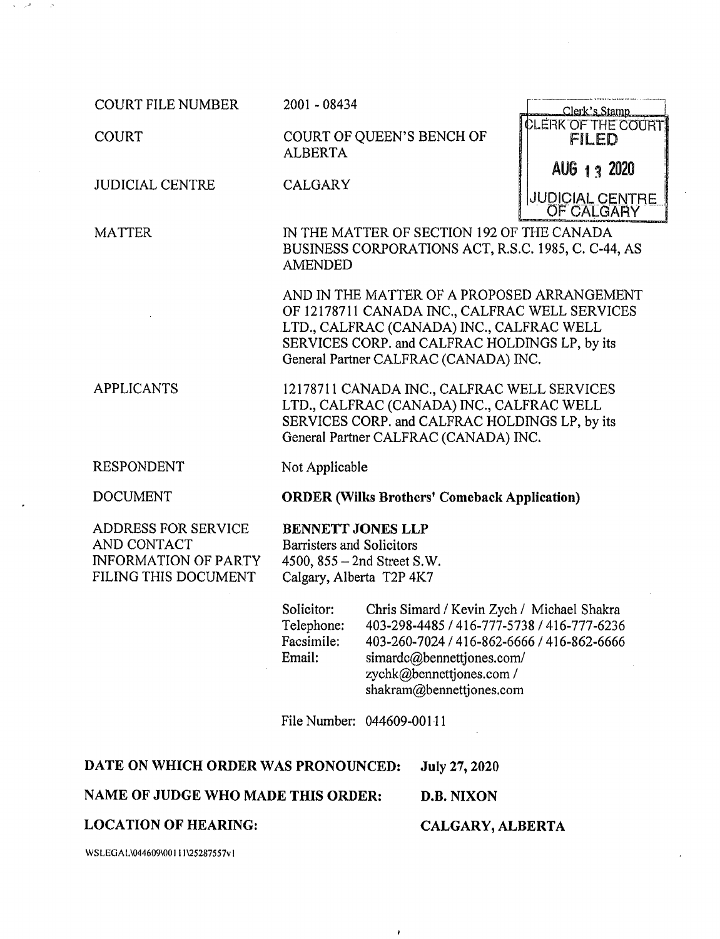COURT FILE NUMBER

**COURT** 

JUDICIAL CENTRE

**MATTER** 

2001 - 08434

COURT OF QUEEN'S BENCH OF ALBERTA

CALGARY

| Clerk's Stamp<br>CLERK OF THE COURT<br>FILED |  |
|----------------------------------------------|--|
| AUG 1 3 2020                                 |  |
| <b>JUDICIAL CENTRE<br/>OF CALGARY</b>        |  |

IN THE MATTER OF SECTION 192 OF THE CANADA BUSINESS CORPORATIONS ACT, R.S.C. 1985, C. C-44, AS AMENDED

AND IN THE MATTER OF A PROPOSED ARRANGEMENT OF 12178711 CANADA INC., CALFRAC WELL SERVICES LTD., CALFRAC (CANADA) INC., CALFRAC WELL SERVICES CORP. and CALFRAC HOLDINGS LP, by its General Partner CALFRAC (CANADA) INC.

12178711 CANADA INC., CALFRAC WELL SERVICES LTD., CALFRAC (CANADA) INC., CALFRAC WELL SERVICES CORP. and CALFRAC HOLDINGS LP, by its General Partner CALFRAC (CANADA) INC.

RESPONDENT

APPLICANTS

DOCUMENT

ADDRESS FOR SERVICE AND CONTACT INFORMATION OF PARTY FILING THIS DOCUMENT

Not Applicable

ORDER (Wilks Brothers' Comeback Application)

# BENNETT JONES LLP

Barristers and Solicitors 4500, 855 — 2nd Street S.W. Calgary, Alberta T2P 4K7

Solicitor: Telephone: Facsimile: Email: Chris Simard / Kevin Zych / Michael Shakra 403-298-4485 / 416-777-5738 / 416-777-6236 403-260-7024 / 416-862-6666 / 416-862-6666 simardc@bennettiones.com/ zychk@bennettjones.com / shakram@bennettjones.com

File Number: 044609-00111

 $\lambda$ 

#### DATE ON WHICH ORDER WAS PRONOUNCED: July 27, 2020

### NAME OF JUDGE WHO MADE THIS ORDER: D.B. NIXON

### LOCATION OF HEARING:

## CALGARY, ALBERTA

WSLEGAL\044609\00111\25287557v1